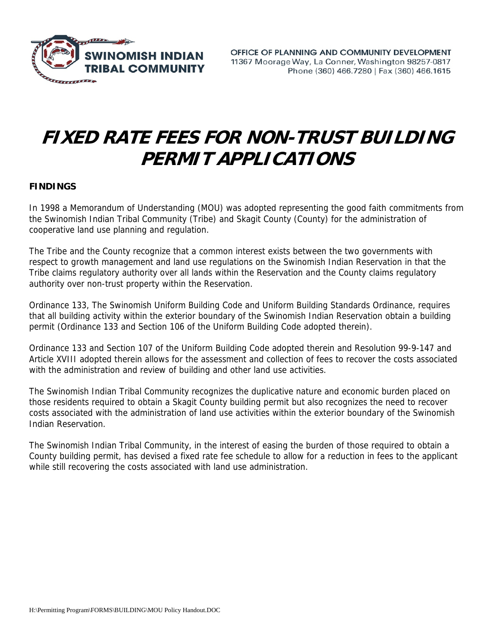

## **FIXED RATE FEES FOR NON-TRUST BUILDING PERMIT APPLICATIONS**

## **FINDINGS**

In 1998 a Memorandum of Understanding (MOU) was adopted representing the good faith commitments from the Swinomish Indian Tribal Community (Tribe) and Skagit County (County) for the administration of cooperative land use planning and regulation.

The Tribe and the County recognize that a common interest exists between the two governments with respect to growth management and land use regulations on the Swinomish Indian Reservation in that the Tribe claims regulatory authority over all lands within the Reservation and the County claims regulatory authority over non-trust property within the Reservation.

Ordinance 133, The Swinomish Uniform Building Code and Uniform Building Standards Ordinance, requires that all building activity within the exterior boundary of the Swinomish Indian Reservation obtain a building permit (Ordinance 133 and Section 106 of the Uniform Building Code adopted therein).

Ordinance 133 and Section 107 of the Uniform Building Code adopted therein and Resolution 99-9-147 and Article XVIII adopted therein allows for the assessment and collection of fees to recover the costs associated with the administration and review of building and other land use activities.

The Swinomish Indian Tribal Community recognizes the duplicative nature and economic burden placed on those residents required to obtain a Skagit County building permit but also recognizes the need to recover costs associated with the administration of land use activities within the exterior boundary of the Swinomish Indian Reservation.

The Swinomish Indian Tribal Community, in the interest of easing the burden of those required to obtain a County building permit, has devised a fixed rate fee schedule to allow for a reduction in fees to the applicant while still recovering the costs associated with land use administration.